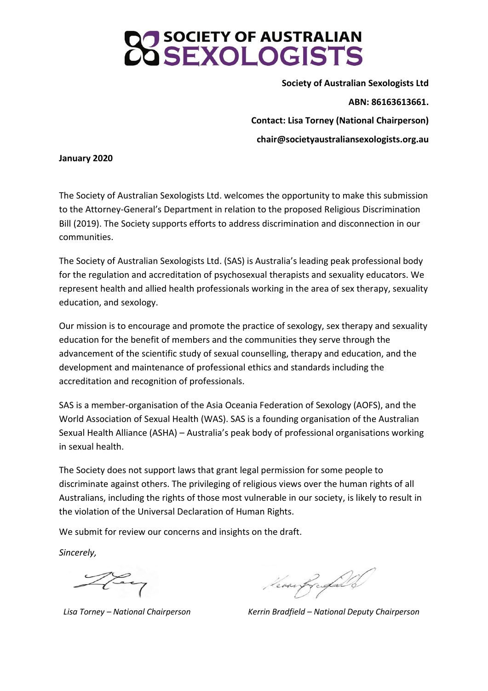**Society of Australian Sexologists Ltd ABN: 86163613661. Contact: Lisa Torney (National Chairperson) chair@societyaustraliansexologists.org.au**

#### **January 2020**

The Society of Australian Sexologists Ltd. welcomes the opportunity to make this submission to the Attorney-General's Department in relation to the proposed Religious Discrimination Bill (2019). The Society supports efforts to address discrimination and disconnection in our communities.

The Society of Australian Sexologists Ltd. (SAS) is Australia's leading peak professional body for the regulation and accreditation of psychosexual therapists and sexuality educators. We represent health and allied health professionals working in the area of sex therapy, sexuality education, and sexology.

Our mission is to encourage and promote the practice of sexology, sex therapy and sexuality education for the benefit of members and the communities they serve through the advancement of the scientific study of sexual counselling, therapy and education, and the development and maintenance of professional ethics and standards including the accreditation and recognition of professionals.

SAS is a member-organisation of the Asia Oceania Federation of Sexology (AOFS), and the World Association of Sexual Health (WAS). SAS is a founding organisation of the Australian Sexual Health Alliance (ASHA) – Australia's peak body of professional organisations working in sexual health.

The Society does not support laws that grant legal permission for some people to discriminate against others. The privileging of religious views over the human rights of all Australians, including the rights of those most vulnerable in our society, is likely to result in the violation of the Universal Declaration of Human Rights.

We submit for review our concerns and insights on the draft.

*Sincerely,*

Kevanfragald

*Lisa Torney – National Chairperson Kerrin Bradfield – National Deputy Chairperson*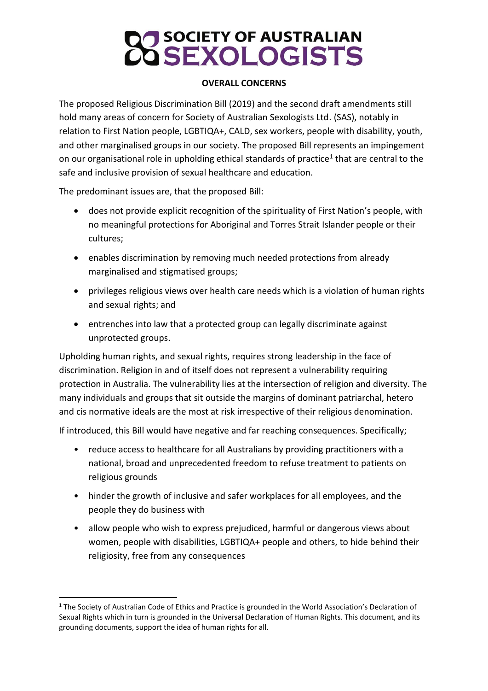# **J** SOCIETY OF AUSTRALIAN<br>J SEXOL OGISTS

### **OVERALL CONCERNS**

The proposed Religious Discrimination Bill (2019) and the second draft amendments still hold many areas of concern for Society of Australian Sexologists Ltd. (SAS), notably in relation to First Nation people, LGBTIQA+, CALD, sex workers, people with disability, youth, and other marginalised groups in our society. The proposed Bill represents an impingement on our organisational role in upholding ethical standards of practice<sup>1</sup> that are central to the safe and inclusive provision of sexual healthcare and education.

The predominant issues are, that the proposed Bill:

- does not provide explicit recognition of the spirituality of First Nation's people, with no meaningful protections for Aboriginal and Torres Strait Islander people or their cultures;
- enables discrimination by removing much needed protections from already marginalised and stigmatised groups;
- privileges religious views over health care needs which is a violation of human rights and sexual rights; and
- entrenches into law that a protected group can legally discriminate against unprotected groups.

Upholding human rights, and sexual rights, requires strong leadership in the face of discrimination. Religion in and of itself does not represent a vulnerability requiring protection in Australia. The vulnerability lies at the intersection of religion and diversity. The many individuals and groups that sit outside the margins of dominant patriarchal, hetero and cis normative ideals are the most at risk irrespective of their religious denomination.

If introduced, this Bill would have negative and far reaching consequences. Specifically;

- reduce access to healthcare for all Australians by providing practitioners with a national, broad and unprecedented freedom to refuse treatment to patients on religious grounds
- hinder the growth of inclusive and safer workplaces for all employees, and the people they do business with
- allow people who wish to express prejudiced, harmful or dangerous views about women, people with disabilities, LGBTIQA+ people and others, to hide behind their religiosity, free from any consequences

<sup>&</sup>lt;sup>1</sup> The Society of Australian Code of Ethics and Practice is grounded in the World Association's Declaration of Sexual Rights which in turn is grounded in the Universal Declaration of Human Rights. This document, and its grounding documents, support the idea of human rights for all.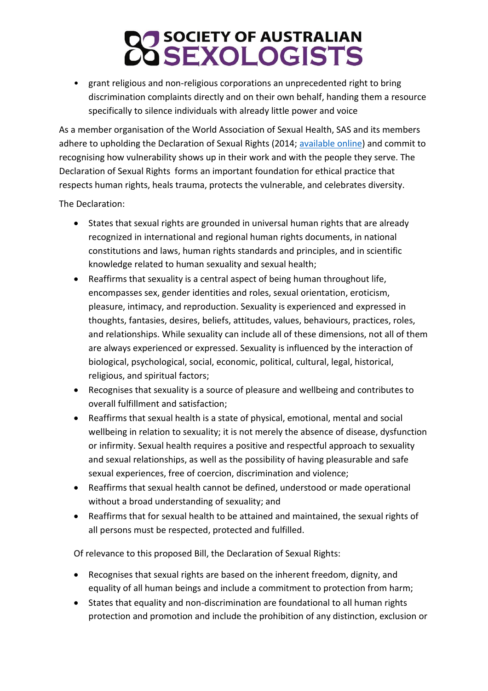• grant religious and non-religious corporations an unprecedented right to bring discrimination complaints directly and on their own behalf, handing them a resource specifically to silence individuals with already little power and voice

As a member organisation of the World Association of Sexual Health, SAS and its members adhere to upholding the Declaration of Sexual Rights (2014; [available](https://worldsexualhealth.net/wp-content/uploads/2013/08/declaration_of_sexual_rights_sep03_2014.pdf) online) and commit to recognising how vulnerability shows up in their work and with the people they serve. The Declaration of Sexual Rights forms an important foundation for ethical practice that respects human rights, heals trauma, protects the vulnerable, and celebrates diversity.

The Declaration:

- States that sexual rights are grounded in universal human rights that are already recognized in international and regional human rights documents, in national constitutions and laws, human rights standards and principles, and in scientific knowledge related to human sexuality and sexual health;
- Reaffirms that sexuality is a central aspect of being human throughout life, encompasses sex, gender identities and roles, sexual orientation, eroticism, pleasure, intimacy, and reproduction. Sexuality is experienced and expressed in thoughts, fantasies, desires, beliefs, attitudes, values, behaviours, practices, roles, and relationships. While sexuality can include all of these dimensions, not all of them are always experienced or expressed. Sexuality is influenced by the interaction of biological, psychological, social, economic, political, cultural, legal, historical, religious, and spiritual factors;
- Recognises that sexuality is a source of pleasure and wellbeing and contributes to overall fulfillment and satisfaction;
- Reaffirms that sexual health is a state of physical, emotional, mental and social wellbeing in relation to sexuality; it is not merely the absence of disease, dysfunction or infirmity. Sexual health requires a positive and respectful approach to sexuality and sexual relationships, as well as the possibility of having pleasurable and safe sexual experiences, free of coercion, discrimination and violence;
- Reaffirms that sexual health cannot be defined, understood or made operational without a broad understanding of sexuality; and
- Reaffirms that for sexual health to be attained and maintained, the sexual rights of all persons must be respected, protected and fulfilled.

Of relevance to this proposed Bill, the Declaration of Sexual Rights:

- Recognises that sexual rights are based on the inherent freedom, dignity, and equality of all human beings and include a commitment to protection from harm;
- States that equality and non-discrimination are foundational to all human rights protection and promotion and include the prohibition of any distinction, exclusion or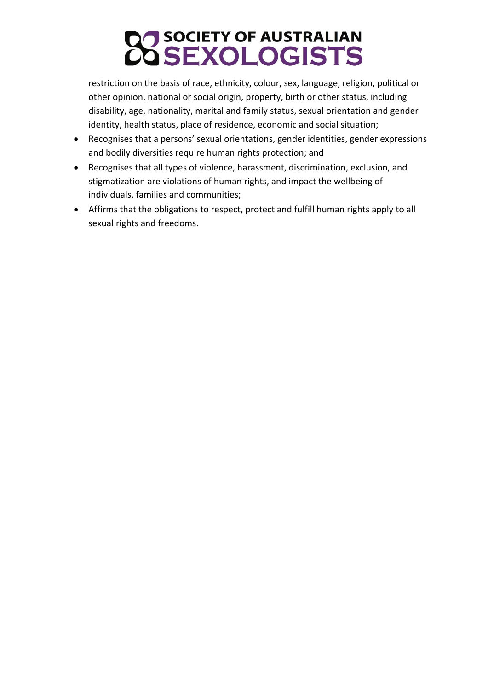# **CO SOCIETY OF AUSTRALIAN<br>CO SEXOLOGISTS**

restriction on the basis of race, ethnicity, colour, sex, language, religion, political or other opinion, national or social origin, property, birth or other status, including disability, age, nationality, marital and family status, sexual orientation and gender identity, health status, place of residence, economic and social situation;

- Recognises that a persons' sexual orientations, gender identities, gender expressions and bodily diversities require human rights protection; and
- Recognises that all types of violence, harassment, discrimination, exclusion, and stigmatization are violations of human rights, and impact the wellbeing of individuals, families and communities;
- Affirms that the obligations to respect, protect and fulfill human rights apply to all sexual rights and freedoms.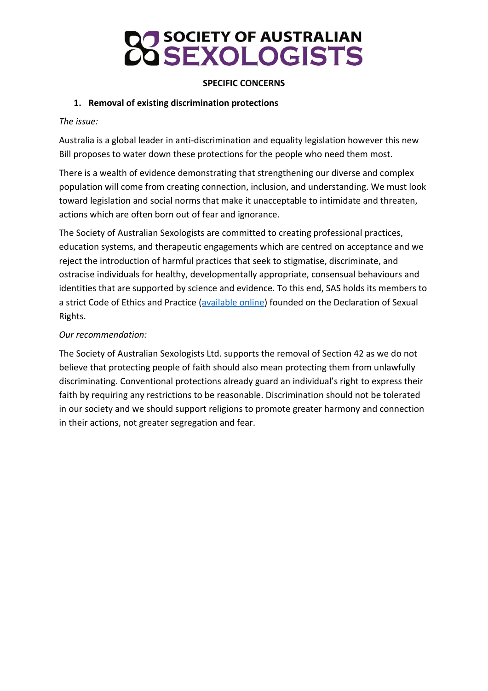### **SPECIFIC CONCERNS**

### **1. Removal of existing discrimination protections**

### *The issue:*

Australia is a global leader in anti-discrimination and equality legislation however this new Bill proposes to water down these protections for the people who need them most.

There is a wealth of evidence demonstrating that strengthening our diverse and complex population will come from creating connection, inclusion, and understanding. We must look toward legislation and social norms that make it unacceptable to intimidate and threaten, actions which are often born out of fear and ignorance.

The Society of Australian Sexologists are committed to creating professional practices, education systems, and therapeutic engagements which are centred on acceptance and we reject the introduction of harmful practices that seek to stigmatise, discriminate, and ostracise individuals for healthy, developmentally appropriate, consensual behaviours and identities that are supported by science and evidence. To this end, SAS holds its members to a strict Code of Ethics and Practice [\(available online\)](https://societyaustraliansexologists.org.au/wp-content/uploads/2018/10/SAS-Code-of-Ethics-and-Practice-2014.pdf) founded on the Declaration of Sexual Rights.

### *Our recommendation:*

The Society of Australian Sexologists Ltd. supports the removal of Section 42 as we do not believe that protecting people of faith should also mean protecting them from unlawfully discriminating. Conventional protections already guard an individual's right to express their faith by requiring any restrictions to be reasonable. Discrimination should not be tolerated in our society and we should support religions to promote greater harmony and connection in their actions, not greater segregation and fear.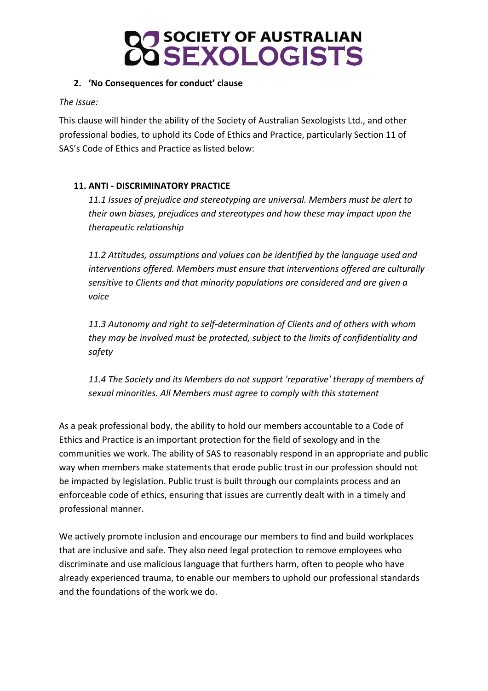

### **2. 'No Consequences for conduct' clause**

*The issue:*

This clause will hinder the ability of the Society of Australian Sexologists Ltd., and other professional bodies, to uphold its Code of Ethics and Practice, particularly Section 11 of SAS's Code of Ethics and Practice as listed below:

### **11. ANTI - DISCRIMINATORY PRACTICE**

*11.1 Issues of prejudice and stereotyping are universal. Members must be alert to their own biases, prejudices and stereotypes and how these may impact upon the therapeutic relationship*

*11.2 Attitudes, assumptions and values can be identified by the language used and interventions offered. Members must ensure that interventions offered are culturally sensitive to Clients and that minority populations are considered and are given a voice*

*11.3 Autonomy and right to self-determination of Clients and of others with whom they may be involved must be protected, subject to the limits of confidentiality and safety*

*11.4 The Society and its Members do not support 'reparative' therapy of members of sexual minorities. All Members must agree to comply with this statement*

As a peak professional body, the ability to hold our members accountable to a Code of Ethics and Practice is an important protection for the field of sexology and in the communities we work. The ability of SAS to reasonably respond in an appropriate and public way when members make statements that erode public trust in our profession should not be impacted by legislation. Public trust is built through our complaints process and an enforceable code of ethics, ensuring that issues are currently dealt with in a timely and professional manner.

We actively promote inclusion and encourage our members to find and build workplaces that are inclusive and safe. They also need legal protection to remove employees who discriminate and use malicious language that furthers harm, often to people who have already experienced trauma, to enable our members to uphold our professional standards and the foundations of the work we do.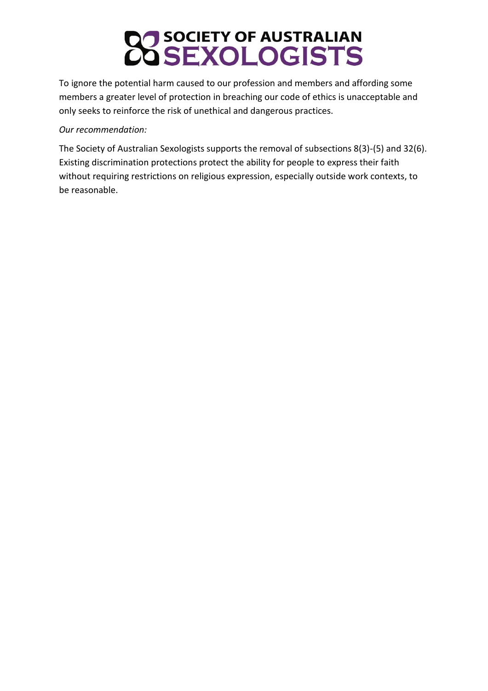## **CO SOCIETY OF AUSTRALIAN<br>CO SEXOLOGISTS**

To ignore the potential harm caused to our profession and members and affording some members a greater level of protection in breaching our code of ethics is unacceptable and only seeks to reinforce the risk of unethical and dangerous practices.

### *Our recommendation:*

The Society of Australian Sexologists supports the removal of subsections 8(3)-(5) and 32(6). Existing discrimination protections protect the ability for people to express their faith without requiring restrictions on religious expression, especially outside work contexts, to be reasonable.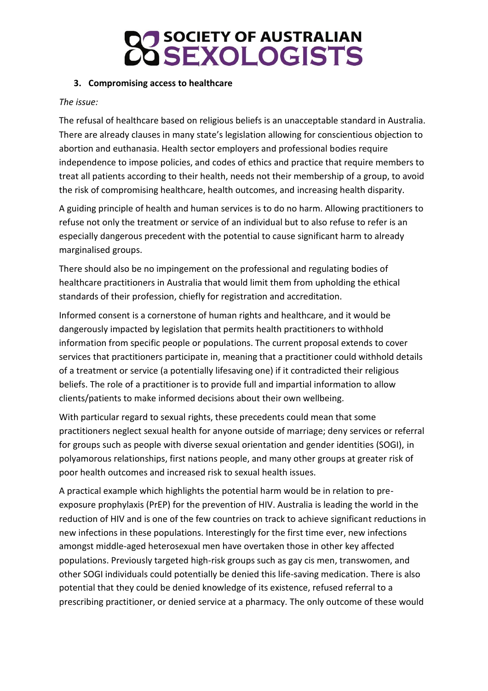### **3. Compromising access to healthcare**

### *The issue:*

The refusal of healthcare based on religious beliefs is an unacceptable standard in Australia. There are already clauses in many state's legislation allowing for conscientious objection to abortion and euthanasia. Health sector employers and professional bodies require independence to impose policies, and codes of ethics and practice that require members to treat all patients according to their health, needs not their membership of a group, to avoid the risk of compromising healthcare, health outcomes, and increasing health disparity.

A guiding principle of health and human services is to do no harm. Allowing practitioners to refuse not only the treatment or service of an individual but to also refuse to refer is an especially dangerous precedent with the potential to cause significant harm to already marginalised groups.

There should also be no impingement on the professional and regulating bodies of healthcare practitioners in Australia that would limit them from upholding the ethical standards of their profession, chiefly for registration and accreditation.

Informed consent is a cornerstone of human rights and healthcare, and it would be dangerously impacted by legislation that permits health practitioners to withhold information from specific people or populations. The current proposal extends to cover services that practitioners participate in, meaning that a practitioner could withhold details of a treatment or service (a potentially lifesaving one) if it contradicted their religious beliefs. The role of a practitioner is to provide full and impartial information to allow clients/patients to make informed decisions about their own wellbeing.

With particular regard to sexual rights, these precedents could mean that some practitioners neglect sexual health for anyone outside of marriage; deny services or referral for groups such as people with diverse sexual orientation and gender identities (SOGI), in polyamorous relationships, first nations people, and many other groups at greater risk of poor health outcomes and increased risk to sexual health issues.

A practical example which highlights the potential harm would be in relation to preexposure prophylaxis (PrEP) for the prevention of HIV. Australia is leading the world in the reduction of HIV and is one of the few countries on track to achieve significant reductions in new infections in these populations. Interestingly for the first time ever, new infections amongst middle-aged heterosexual men have overtaken those in other key affected populations. Previously targeted high-risk groups such as gay cis men, transwomen, and other SOGI individuals could potentially be denied this life-saving medication. There is also potential that they could be denied knowledge of its existence, refused referral to a prescribing practitioner, or denied service at a pharmacy. The only outcome of these would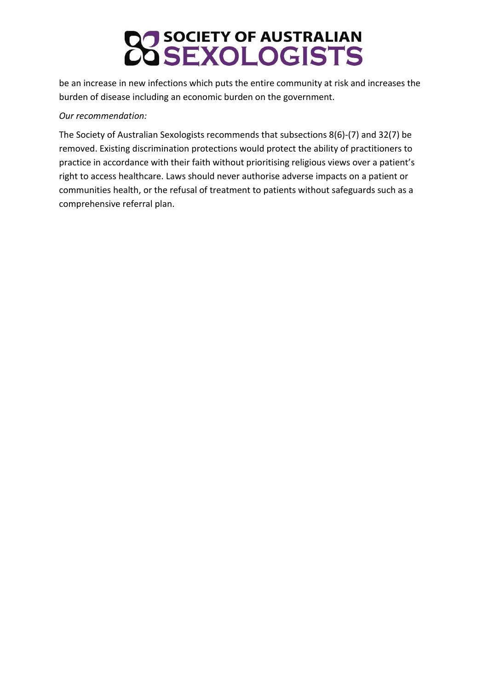## **CO SOCIETY OF AUSTRALIAN<br>CO SEXOLOGISTS**

be an increase in new infections which puts the entire community at risk and increases the burden of disease including an economic burden on the government.

### *Our recommendation:*

The Society of Australian Sexologists recommends that subsections 8(6)-(7) and 32(7) be removed. Existing discrimination protections would protect the ability of practitioners to practice in accordance with their faith without prioritising religious views over a patient's right to access healthcare. Laws should never authorise adverse impacts on a patient or communities health, or the refusal of treatment to patients without safeguards such as a comprehensive referral plan.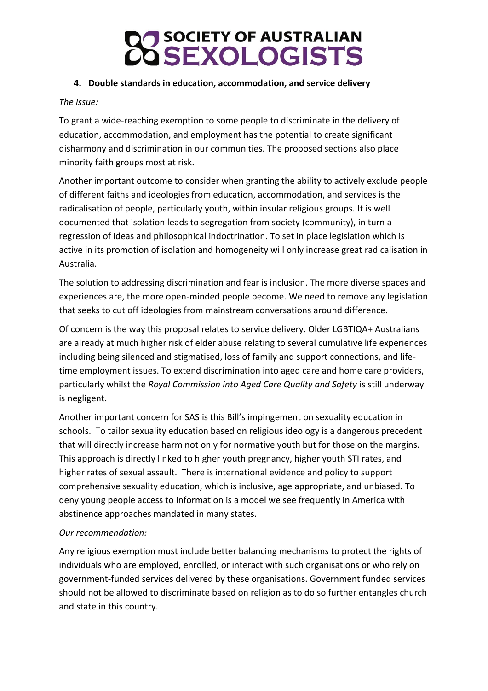### **4. Double standards in education, accommodation, and service delivery**

### *The issue:*

To grant a wide-reaching exemption to some people to discriminate in the delivery of education, accommodation, and employment has the potential to create significant disharmony and discrimination in our communities. The proposed sections also place minority faith groups most at risk.

Another important outcome to consider when granting the ability to actively exclude people of different faiths and ideologies from education, accommodation, and services is the radicalisation of people, particularly youth, within insular religious groups. It is well documented that isolation leads to segregation from society (community), in turn a regression of ideas and philosophical indoctrination. To set in place legislation which is active in its promotion of isolation and homogeneity will only increase great radicalisation in Australia.

The solution to addressing discrimination and fear is inclusion. The more diverse spaces and experiences are, the more open-minded people become. We need to remove any legislation that seeks to cut off ideologies from mainstream conversations around difference.

Of concern is the way this proposal relates to service delivery. Older LGBTIQA+ Australians are already at much higher risk of elder abuse relating to several cumulative life experiences including being silenced and stigmatised, loss of family and support connections, and lifetime employment issues. To extend discrimination into aged care and home care providers, particularly whilst the *Royal Commission into Aged Care Quality and Safety* is still underway is negligent.

Another important concern for SAS is this Bill's impingement on sexuality education in schools. To tailor sexuality education based on religious ideology is a dangerous precedent that will directly increase harm not only for normative youth but for those on the margins. This approach is directly linked to higher youth pregnancy, higher youth STI rates, and higher rates of sexual assault. There is international evidence and policy to support comprehensive sexuality education, which is inclusive, age appropriate, and unbiased. To deny young people access to information is a model we see frequently in America with abstinence approaches mandated in many states.

### *Our recommendation:*

Any religious exemption must include better balancing mechanisms to protect the rights of individuals who are employed, enrolled, or interact with such organisations or who rely on government-funded services delivered by these organisations. Government funded services should not be allowed to discriminate based on religion as to do so further entangles church and state in this country.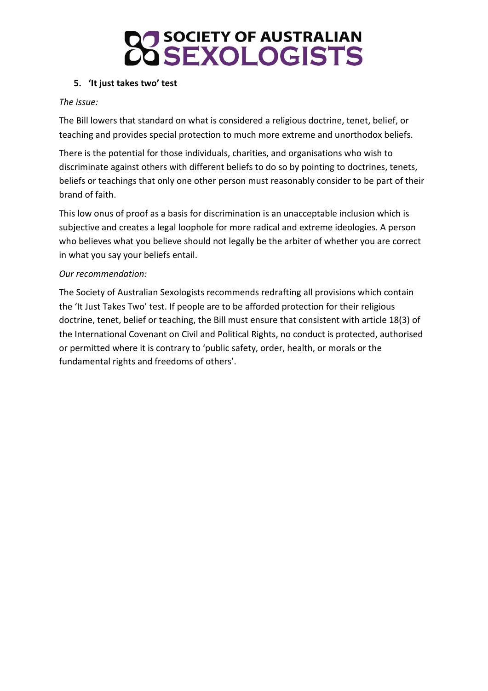### **5. 'It just takes two' test**

### *The issue:*

The Bill lowers that standard on what is considered a religious doctrine, tenet, belief, or teaching and provides special protection to much more extreme and unorthodox beliefs.

There is the potential for those individuals, charities, and organisations who wish to discriminate against others with different beliefs to do so by pointing to doctrines, tenets, beliefs or teachings that only one other person must reasonably consider to be part of their brand of faith.

This low onus of proof as a basis for discrimination is an unacceptable inclusion which is subjective and creates a legal loophole for more radical and extreme ideologies. A person who believes what you believe should not legally be the arbiter of whether you are correct in what you say your beliefs entail.

### *Our recommendation:*

The Society of Australian Sexologists recommends redrafting all provisions which contain the 'It Just Takes Two' test. If people are to be afforded protection for their religious doctrine, tenet, belief or teaching, the Bill must ensure that consistent with article 18(3) of the International Covenant on Civil and Political Rights, no conduct is protected, authorised or permitted where it is contrary to 'public safety, order, health, or morals or the fundamental rights and freedoms of others'.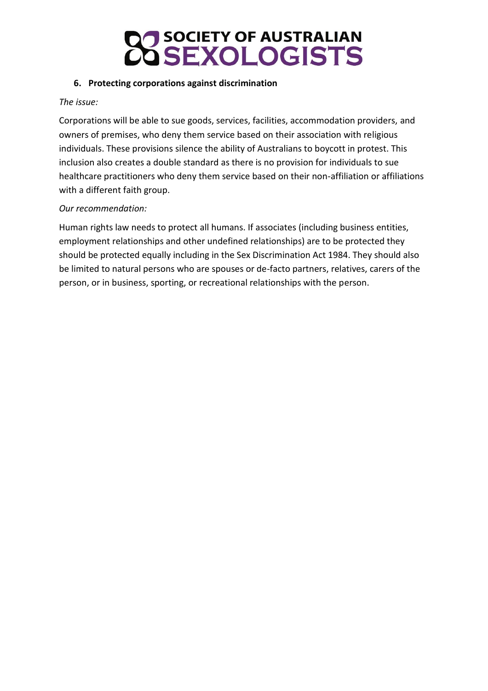### **6. Protecting corporations against discrimination**

### *The issue:*

Corporations will be able to sue goods, services, facilities, accommodation providers, and owners of premises, who deny them service based on their association with religious individuals. These provisions silence the ability of Australians to boycott in protest. This inclusion also creates a double standard as there is no provision for individuals to sue healthcare practitioners who deny them service based on their non-affiliation or affiliations with a different faith group.

### *Our recommendation:*

Human rights law needs to protect all humans. If associates (including business entities, employment relationships and other undefined relationships) are to be protected they should be protected equally including in the Sex Discrimination Act 1984. They should also be limited to natural persons who are spouses or de-facto partners, relatives, carers of the person, or in business, sporting, or recreational relationships with the person.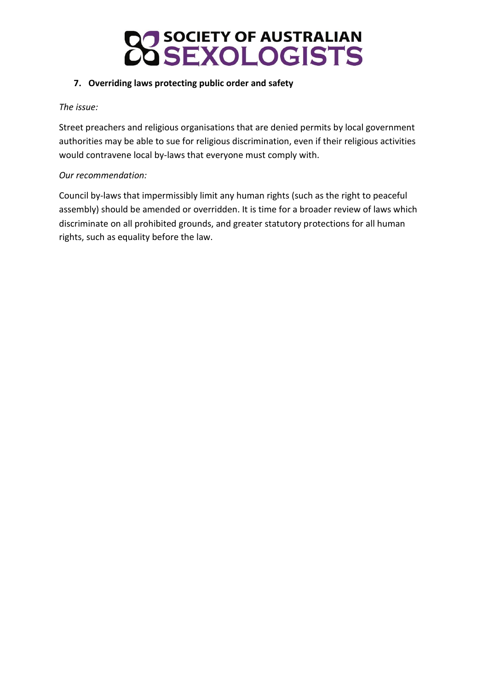

### **7. Overriding laws protecting public order and safety**

### *The issue:*

Street preachers and religious organisations that are denied permits by local government authorities may be able to sue for religious discrimination, even if their religious activities would contravene local by-laws that everyone must comply with.

### *Our recommendation:*

Council by-laws that impermissibly limit any human rights (such as the right to peaceful assembly) should be amended or overridden. It is time for a broader review of laws which discriminate on all prohibited grounds, and greater statutory protections for all human rights, such as equality before the law.